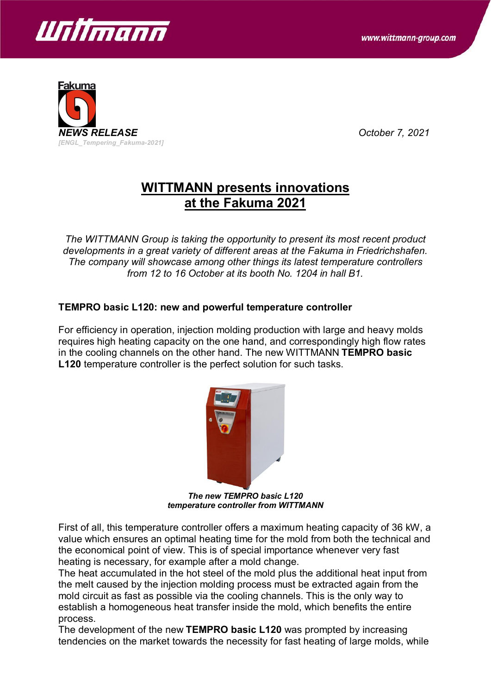



## **WITTMANN presents innovations at the Fakuma 2021**

*The WITTMANN Group is taking the opportunity to present its most recent product developments in a great variety of different areas at the Fakuma in Friedrichshafen. The company will showcase among other things its latest temperature controllers from 12 to 16 October at its booth No. 1204 in hall B1.*

## **TEMPRO basic L120: new and powerful temperature controller**

For efficiency in operation, injection molding production with large and heavy molds requires high heating capacity on the one hand, and correspondingly high flow rates in the cooling channels on the other hand. The new WITTMANN **TEMPRO basic L120** temperature controller is the perfect solution for such tasks.



*The new TEMPRO basic L120 temperature controller from WITTMANN*

First of all, this temperature controller offers a maximum heating capacity of 36 kW, a value which ensures an optimal heating time for the mold from both the technical and the economical point of view. This is of special importance whenever very fast heating is necessary, for example after a mold change.

The heat accumulated in the hot steel of the mold plus the additional heat input from the melt caused by the injection molding process must be extracted again from the mold circuit as fast as possible via the cooling channels. This is the only way to establish a homogeneous heat transfer inside the mold, which benefits the entire process.

The development of the new **TEMPRO basic L120** was prompted by increasing tendencies on the market towards the necessity for fast heating of large molds, while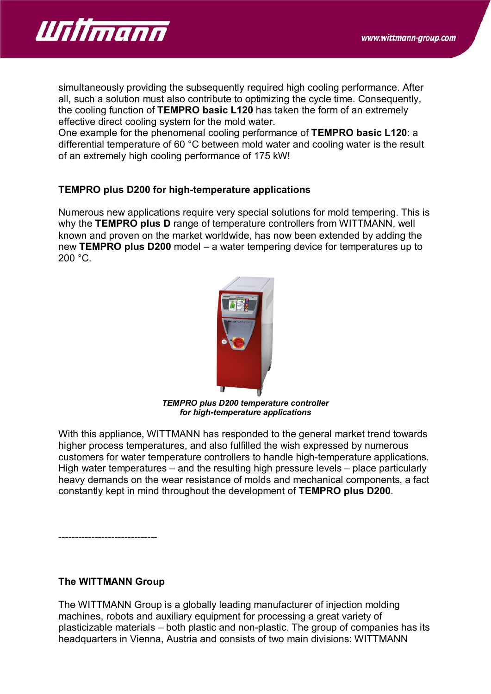

simultaneously providing the subsequently required high cooling performance. After all, such a solution must also contribute to optimizing the cycle time. Consequently, the cooling function of **TEMPRO basic L120** has taken the form of an extremely effective direct cooling system for the mold water.

One example for the phenomenal cooling performance of **TEMPRO basic L120**: a differential temperature of 60 °C between mold water and cooling water is the result of an extremely high cooling performance of 175 kW!

## **TEMPRO plus D200 for high-temperature applications**

Numerous new applications require very special solutions for mold tempering. This is why the **TEMPRO plus D** range of temperature controllers from WITTMANN, well known and proven on the market worldwide, has now been extended by adding the new **TEMPRO plus D200** model – a water tempering device for temperatures up to 200 °C.



*TEMPRO plus D200 temperature controller for high-temperature applications*

With this appliance, WITTMANN has responded to the general market trend towards higher process temperatures, and also fulfilled the wish expressed by numerous customers for water temperature controllers to handle high-temperature applications. High water temperatures – and the resulting high pressure levels – place particularly heavy demands on the wear resistance of molds and mechanical components, a fact constantly kept in mind throughout the development of **TEMPRO plus D200**.

**The WITTMANN Group**

------------------------------

The WITTMANN Group is a globally leading manufacturer of injection molding machines, robots and auxiliary equipment for processing a great variety of plasticizable materials – both plastic and non-plastic. The group of companies has its headquarters in Vienna, Austria and consists of two main divisions: WITTMANN